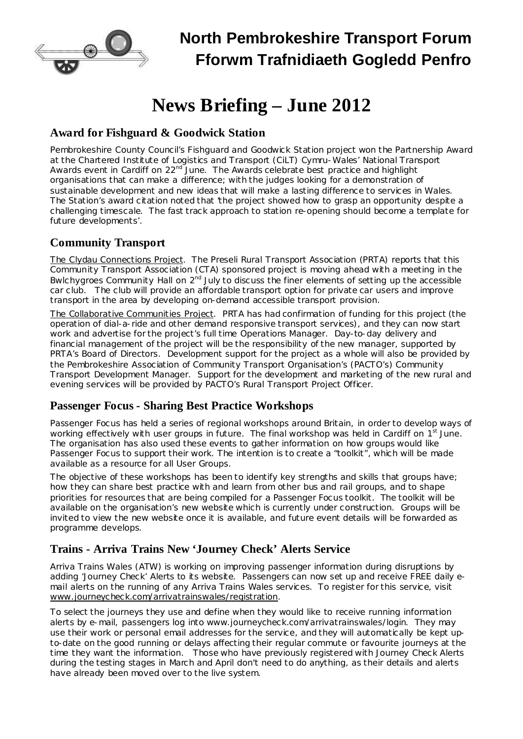

# **North Pembrokeshire Transport Forum Fforwm Trafnidiaeth Gogledd Penfro**

# **News Briefing – June 2012**

## **Award for Fishguard & Goodwick Station**

Pembrokeshire County Council's Fishguard and Goodwick Station project won the Partnership Award at the Chartered Institute of Logistics and Transport (CiLT) Cymru-Wales' National Transport Awards event in Cardiff on 22<sup>nd</sup> June. The Awards celebrate best practice and highlight organisations that can make a difference; with the judges looking for a demonstration of sustainable development and new ideas that will make a lasting difference to services in Wales. The Station's award citation noted that 'the project showed how to grasp an opportunity despite a challenging timescale. The fast track approach to station re-opening should become a template for future developments'.

### **Community Transport**

The Clydau Connections Project. The Preseli Rural Transport Association (PRTA) reports that this Community Transport Association (CTA) sponsored project is moving ahead with a meeting in the Bwlchygroes Community Hall on  $2^{nd}$  July to discuss the finer elements of setting up the accessible car club. The club will provide an affordable transport option for private car users and improve transport in the area by developing on-demand accessible transport provision.

The Collaborative Communities Project. PRTA has had confirmation of funding for this project (the operation of dial-a-ride and other demand responsive transport services), and they can now start work and advertise for the project's full time Operations Manager. Day-to-day delivery and financial management of the project will be the responsibility of the new manager, supported by PRTA's Board of Directors. Development support for the project as a whole will also be provided by the Pembrokeshire Association of Community Transport Organisation's (PACTO's) Community Transport Development Manager. Support for the development and marketing of the new rural and evening services will be provided by PACTO's Rural Transport Project Officer.

#### **Passenger Focus - Sharing Best Practice Workshops**

Passenger Focus has held a series of regional workshops around Britain, in order to develop ways of working effectively with user groups in future. The final workshop was held in Cardiff on 1<sup>st</sup> June. The organisation has also used these events to gather information on how groups would like Passenger Focus to support their work. The intention is to create a "toolkit", which will be made available as a resource for all User Groups.

The objective of these workshops has been to identify key strengths and skills that groups have; how they can share best practice with and learn from other bus and rail groups, and to shape priorities for resources that are being compiled for a Passenger Focus toolkit. The toolkit will be available on the organisation's new website which is currently under construction. Groups will be invited to view the new website once it is available, and future event details will be forwarded as programme develops.

### **Trains - Arriva Trains New 'Journey Check' Alerts Service**

Arriva Trains Wales (ATW) is working on improving passenger information during disruptions by adding 'Journey Check' Alerts to its website. Passengers can now set up and receive FREE daily email alerts on the running of any Arriva Trains Wales services. To register for this service, visit www.journeycheck.com/arrivatrainswales/registration.

To select the journeys they use and define when they would like to receive running information alerts by e-mail, passengers log into [www.journeycheck.com/arrivatrainswales/login.](http://www.journeycheck.com/arrivatrainswales/login) They may use their work or personal email addresses for the service, and they will automatically be kept upto-date on the good running or delays affecting their regular commute or favourite journeys at the time they want the information. Those who have previously registered with Journey Check Alerts during the testing stages in March and April don't need to do anything, as their details and alerts have already been moved over to the live system.